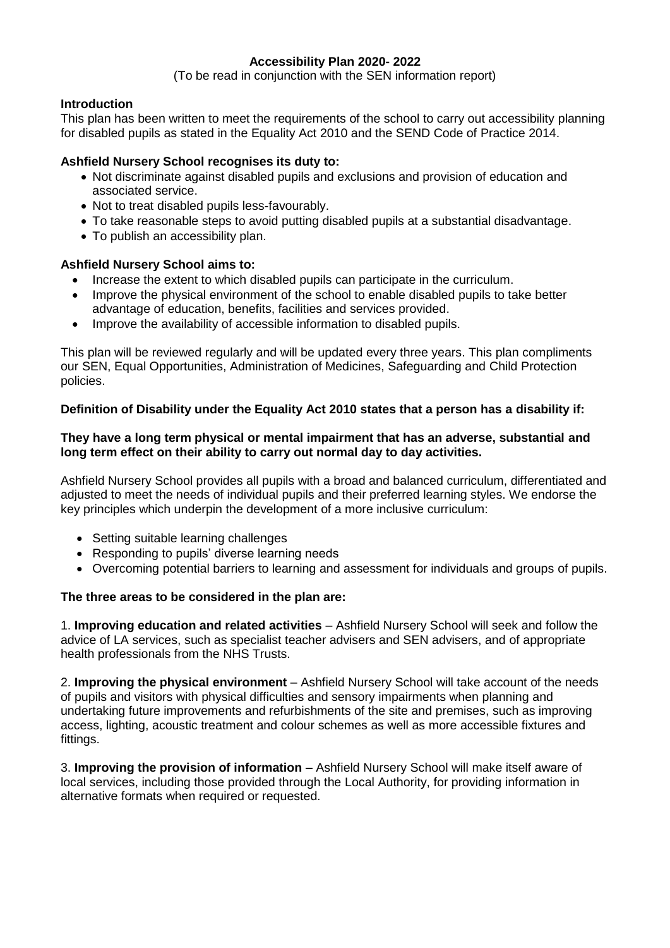# **Accessibility Plan 2020- 2022**

(To be read in conjunction with the SEN information report)

# **Introduction**

This plan has been written to meet the requirements of the school to carry out accessibility planning for disabled pupils as stated in the Equality Act 2010 and the SEND Code of Practice 2014.

# **Ashfield Nursery School recognises its duty to:**

- Not discriminate against disabled pupils and exclusions and provision of education and associated service.
- Not to treat disabled pupils less-favourably.
- To take reasonable steps to avoid putting disabled pupils at a substantial disadvantage.
- To publish an accessibility plan.

#### **Ashfield Nursery School aims to:**

- Increase the extent to which disabled pupils can participate in the curriculum.
- Improve the physical environment of the school to enable disabled pupils to take better advantage of education, benefits, facilities and services provided.
- Improve the availability of accessible information to disabled pupils.

This plan will be reviewed regularly and will be updated every three years. This plan compliments our SEN, Equal Opportunities, Administration of Medicines, Safeguarding and Child Protection policies.

#### **Definition of Disability under the Equality Act 2010 states that a person has a disability if:**

## **They have a long term physical or mental impairment that has an adverse, substantial and long term effect on their ability to carry out normal day to day activities.**

Ashfield Nursery School provides all pupils with a broad and balanced curriculum, differentiated and adjusted to meet the needs of individual pupils and their preferred learning styles. We endorse the key principles which underpin the development of a more inclusive curriculum:

- Setting suitable learning challenges
- Responding to pupils' diverse learning needs
- Overcoming potential barriers to learning and assessment for individuals and groups of pupils.

# **The three areas to be considered in the plan are:**

1. **Improving education and related activities** – Ashfield Nursery School will seek and follow the advice of LA services, such as specialist teacher advisers and SEN advisers, and of appropriate health professionals from the NHS Trusts.

2. **Improving the physical environment** – Ashfield Nursery School will take account of the needs of pupils and visitors with physical difficulties and sensory impairments when planning and undertaking future improvements and refurbishments of the site and premises, such as improving access, lighting, acoustic treatment and colour schemes as well as more accessible fixtures and fittings.

3. **Improving the provision of information –** Ashfield Nursery School will make itself aware of local services, including those provided through the Local Authority, for providing information in alternative formats when required or requested.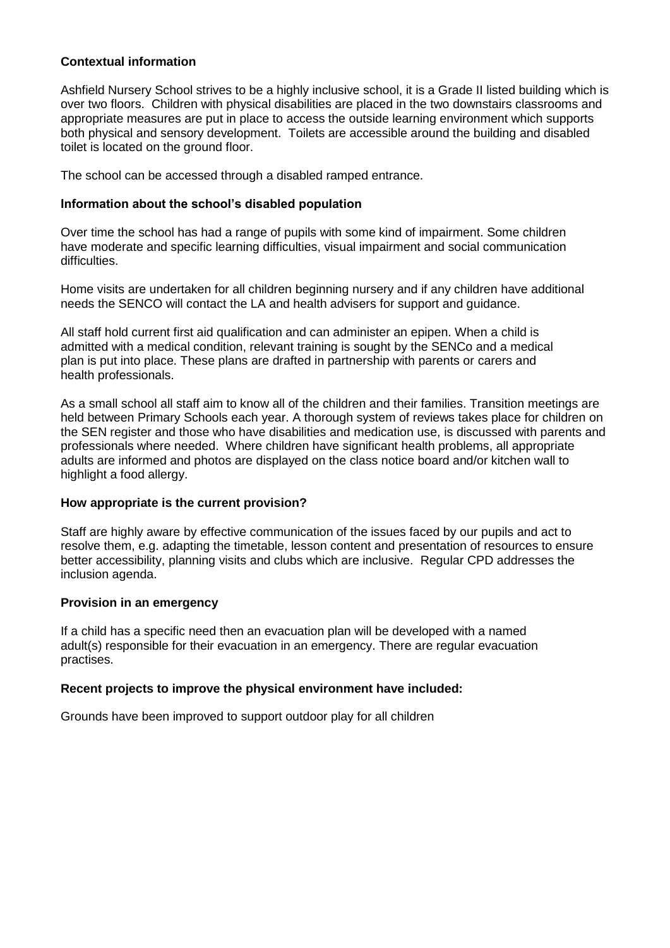# **Contextual information**

Ashfield Nursery School strives to be a highly inclusive school, it is a Grade II listed building which is over two floors. Children with physical disabilities are placed in the two downstairs classrooms and appropriate measures are put in place to access the outside learning environment which supports both physical and sensory development. Toilets are accessible around the building and disabled toilet is located on the ground floor.

The school can be accessed through a disabled ramped entrance.

### **Information about the school's disabled population**

Over time the school has had a range of pupils with some kind of impairment. Some children have moderate and specific learning difficulties, visual impairment and social communication difficulties.

Home visits are undertaken for all children beginning nursery and if any children have additional needs the SENCO will contact the LA and health advisers for support and guidance.

All staff hold current first aid qualification and can administer an epipen. When a child is admitted with a medical condition, relevant training is sought by the SENCo and a medical plan is put into place. These plans are drafted in partnership with parents or carers and health professionals.

As a small school all staff aim to know all of the children and their families. Transition meetings are held between Primary Schools each year. A thorough system of reviews takes place for children on the SEN register and those who have disabilities and medication use, is discussed with parents and professionals where needed. Where children have significant health problems, all appropriate adults are informed and photos are displayed on the class notice board and/or kitchen wall to highlight a food allergy.

#### **How appropriate is the current provision?**

Staff are highly aware by effective communication of the issues faced by our pupils and act to resolve them, e.g. adapting the timetable, lesson content and presentation of resources to ensure better accessibility, planning visits and clubs which are inclusive. Regular CPD addresses the inclusion agenda.

#### **Provision in an emergency**

If a child has a specific need then an evacuation plan will be developed with a named adult(s) responsible for their evacuation in an emergency. There are regular evacuation practises.

#### **Recent projects to improve the physical environment have included:**

Grounds have been improved to support outdoor play for all children